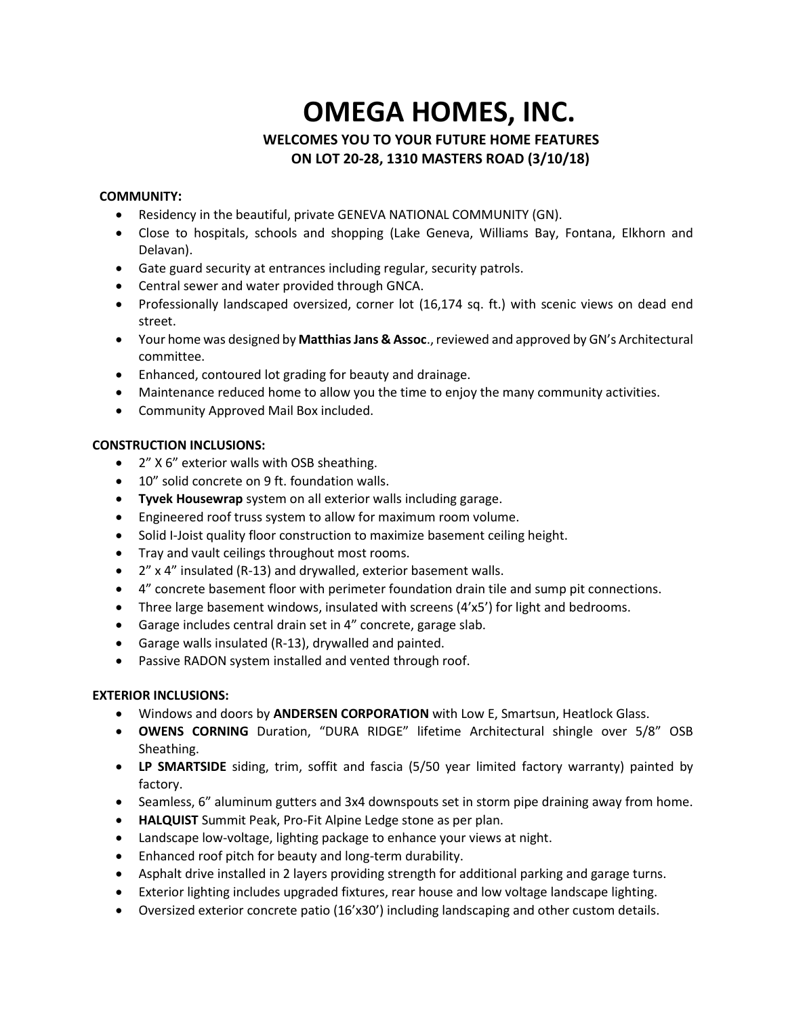# **OMEGA HOMES, INC.**

# **WELCOMES YOU TO YOUR FUTURE HOME FEATURES ON LOT 20-28, 1310 MASTERS ROAD (3/10/18)**

## **COMMUNITY:**

- Residency in the beautiful, private GENEVA NATIONAL COMMUNITY (GN).
- Close to hospitals, schools and shopping (Lake Geneva, Williams Bay, Fontana, Elkhorn and Delavan).
- Gate guard security at entrances including regular, security patrols.
- Central sewer and water provided through GNCA.
- Professionally landscaped oversized, corner lot (16,174 sq. ft.) with scenic views on dead end street.
- Your home was designed by **Matthias Jans & Assoc**., reviewed and approved by GN's Architectural committee.
- Enhanced, contoured lot grading for beauty and drainage.
- Maintenance reduced home to allow you the time to enjoy the many community activities.
- Community Approved Mail Box included.

## **CONSTRUCTION INCLUSIONS:**

- 2" X 6" exterior walls with OSB sheathing.
- 10" solid concrete on 9 ft. foundation walls.
- **Tyvek Housewrap** system on all exterior walls including garage.
- Engineered roof truss system to allow for maximum room volume.
- Solid I-Joist quality floor construction to maximize basement ceiling height.
- Tray and vault ceilings throughout most rooms.
- 2" x 4" insulated (R-13) and drywalled, exterior basement walls.
- 4" concrete basement floor with perimeter foundation drain tile and sump pit connections.
- Three large basement windows, insulated with screens (4'x5') for light and bedrooms.
- Garage includes central drain set in 4" concrete, garage slab.
- Garage walls insulated (R-13), drywalled and painted.
- Passive RADON system installed and vented through roof.

## **EXTERIOR INCLUSIONS:**

- Windows and doors by **ANDERSEN CORPORATION** with Low E, Smartsun, Heatlock Glass.
- **OWENS CORNING** Duration, "DURA RIDGE" lifetime Architectural shingle over 5/8" OSB Sheathing.
- **LP SMARTSIDE** siding, trim, soffit and fascia (5/50 year limited factory warranty) painted by factory.
- Seamless, 6" aluminum gutters and 3x4 downspouts set in storm pipe draining away from home.
- **HALQUIST** Summit Peak, Pro-Fit Alpine Ledge stone as per plan.
- Landscape low-voltage, lighting package to enhance your views at night.
- Enhanced roof pitch for beauty and long-term durability.
- Asphalt drive installed in 2 layers providing strength for additional parking and garage turns.
- Exterior lighting includes upgraded fixtures, rear house and low voltage landscape lighting.
- Oversized exterior concrete patio (16'x30') including landscaping and other custom details.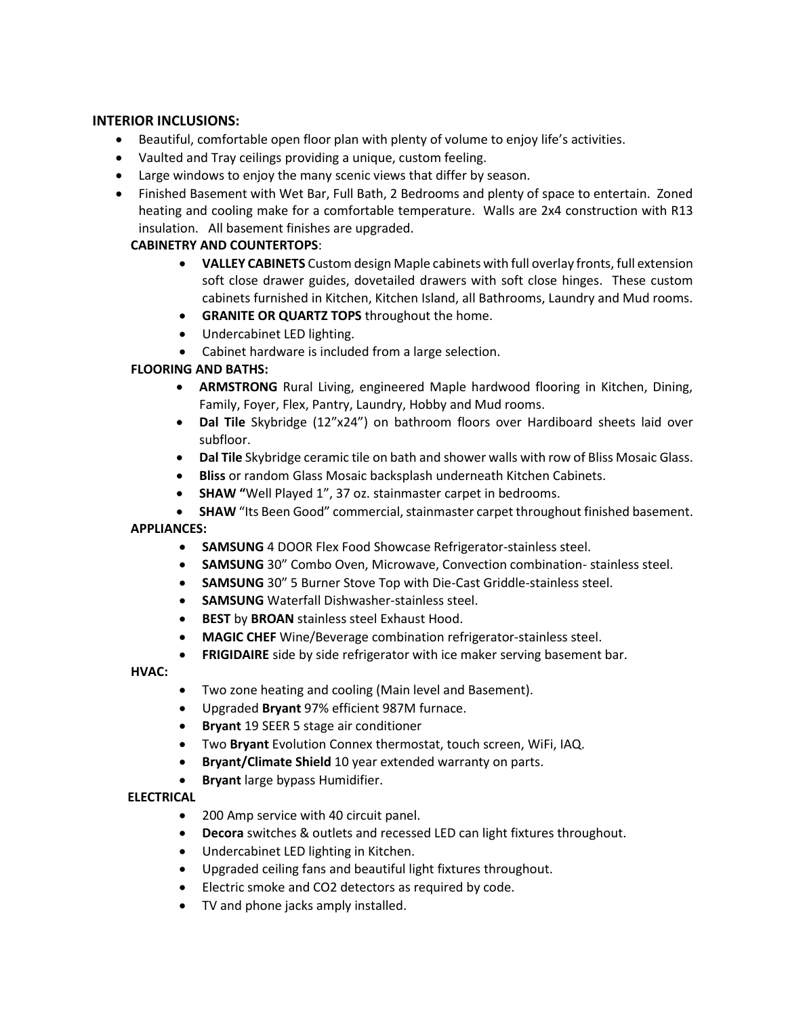# **INTERIOR INCLUSIONS:**

- Beautiful, comfortable open floor plan with plenty of volume to enjoy life's activities.
- Vaulted and Tray ceilings providing a unique, custom feeling.
- Large windows to enjoy the many scenic views that differ by season.
- Finished Basement with Wet Bar, Full Bath, 2 Bedrooms and plenty of space to entertain. Zoned heating and cooling make for a comfortable temperature. Walls are 2x4 construction with R13 insulation. All basement finishes are upgraded.

# **CABINETRY AND COUNTERTOPS**:

- **VALLEY CABINETS** Custom design Maple cabinets with full overlay fronts, full extension soft close drawer guides, dovetailed drawers with soft close hinges. These custom cabinets furnished in Kitchen, Kitchen Island, all Bathrooms, Laundry and Mud rooms.
- **GRANITE OR QUARTZ TOPS** throughout the home.
- Undercabinet LED lighting.
- Cabinet hardware is included from a large selection.

# **FLOORING AND BATHS:**

- **ARMSTRONG** Rural Living, engineered Maple hardwood flooring in Kitchen, Dining, Family, Foyer, Flex, Pantry, Laundry, Hobby and Mud rooms.
- **Dal Tile** Skybridge (12"x24") on bathroom floors over Hardiboard sheets laid over subfloor.
- **Dal Tile** Skybridge ceramic tile on bath and shower walls with row of Bliss Mosaic Glass.
- **Bliss** or random Glass Mosaic backsplash underneath Kitchen Cabinets.
- **SHAW "**Well Played 1", 37 oz. stainmaster carpet in bedrooms.
- SHAW "Its Been Good" commercial, stainmaster carpet throughout finished basement.

## **APPLIANCES:**

- **SAMSUNG** 4 DOOR Flex Food Showcase Refrigerator-stainless steel.
- **SAMSUNG** 30" Combo Oven, Microwave, Convection combination- stainless steel.
- **SAMSUNG** 30" 5 Burner Stove Top with Die-Cast Griddle-stainless steel.
- **SAMSUNG** Waterfall Dishwasher-stainless steel.
- **BEST** by **BROAN** stainless steel Exhaust Hood.
- **MAGIC CHEF** Wine/Beverage combination refrigerator-stainless steel.
- **FRIGIDAIRE** side by side refrigerator with ice maker serving basement bar.

**HVAC:**

- Two zone heating and cooling (Main level and Basement).
- Upgraded **Bryant** 97% efficient 987M furnace.
- **Bryant** 19 SEER 5 stage air conditioner
- Two **Bryant** Evolution Connex thermostat, touch screen, WiFi, IAQ.
- **Bryant/Climate Shield** 10 year extended warranty on parts.
- **Bryant** large bypass Humidifier.

# **ELECTRICAL**

- 200 Amp service with 40 circuit panel.
- **Decora** switches & outlets and recessed LED can light fixtures throughout.
- Undercabinet LED lighting in Kitchen.
- Upgraded ceiling fans and beautiful light fixtures throughout.
- Electric smoke and CO2 detectors as required by code.
- TV and phone jacks amply installed.